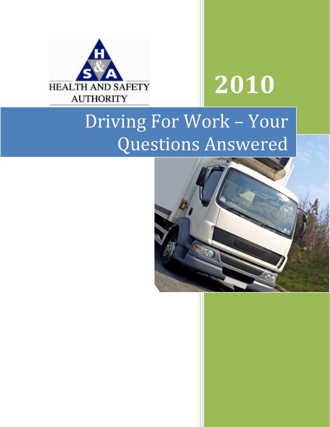

# **2010**

## Driving For Work – Your Questions Answered

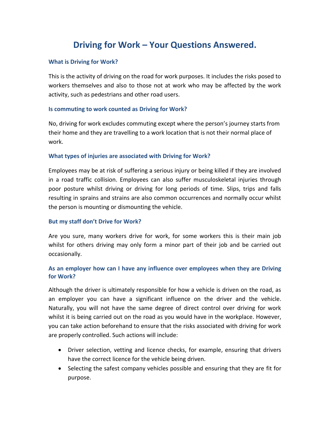### **Driving for Work – Your Questions Answered.**

#### **What is Driving for Work?**

This is the activity of driving on the road for work purposes. It includes the risks posed to workers themselves and also to those not at work who may be affected by the work activity, such as pedestrians and other road users.

#### **Is commuting to work counted as Driving for Work?**

No, driving for work excludes commuting except where the person's journey starts from their home and they are travelling to a work location that is not their normal place of work.

#### **What types of injuries are associated with Driving for Work?**

Employees may be at risk of suffering a serious injury or being killed if they are involved in a road traffic collision. Employees can also suffer musculoskeletal injuries through poor posture whilst driving or driving for long periods of time. Slips, trips and falls resulting in sprains and strains are also common occurrences and normally occur whilst the person is mounting or dismounting the vehicle.

#### **But my staff don't Drive for Work?**

Are you sure, many workers drive for work, for some workers this is their main job whilst for others driving may only form a minor part of their job and be carried out occasionally.

#### **As an employer how can I have any influence over employees when they are Driving for Work?**

Although the driver is ultimately responsible for how a vehicle is driven on the road, as an employer you can have a significant influence on the driver and the vehicle. Naturally, you will not have the same degree of direct control over driving for work whilst it is being carried out on the road as you would have in the workplace. However, you can take action beforehand to ensure that the risks associated with driving for work are properly controlled. Such actions will include:

- Driver selection, vetting and licence checks, for example, ensuring that drivers have the correct licence for the vehicle being driven.
- Selecting the safest company vehicles possible and ensuring that they are fit for purpose.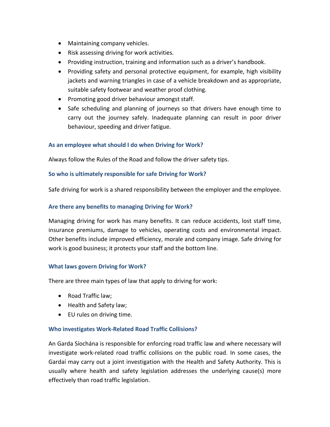- Maintaining company vehicles.
- Risk assessing driving for work activities.
- Providing instruction, training and information such as a driver's handbook.
- Providing safety and personal protective equipment, for example, high visibility jackets and warning triangles in case of a vehicle breakdown and as appropriate, suitable safety footwear and weather proof clothing.
- Promoting good driver behaviour amongst staff.
- Safe scheduling and planning of journeys so that drivers have enough time to carry out the journey safely. Inadequate planning can result in poor driver behaviour, speeding and driver fatigue.

#### **As an employee what should I do when Driving for Work?**

Always follow the Rules of the Road and follow the driver safety tips.

#### **So who is ultimately responsible for safe Driving for Work?**

Safe driving for work is a shared responsibility between the employer and the employee.

#### **Are there any benefits to managing Driving for Work?**

Managing driving for work has many benefits. It can reduce accidents, lost staff time, insurance premiums, damage to vehicles, operating costs and environmental impact. Other benefits include improved efficiency, morale and company image. Safe driving for work is good business; it protects your staff and the bottom line.

#### **What laws govern Driving for Work?**

There are three main types of law that apply to driving for work:

- Road Traffic law;
- Health and Safety law;
- EU rules on driving time.

#### **Who investigates Work-Related Road Traffic Collisions?**

An Garda Síochána is responsible for enforcing road traffic law and where necessary will investigate work-related road traffic collisions on the public road. In some cases, the Gardaí may carry out a joint investigation with the Health and Safety Authority. This is usually where health and safety legislation addresses the underlying cause(s) more effectively than road traffic legislation.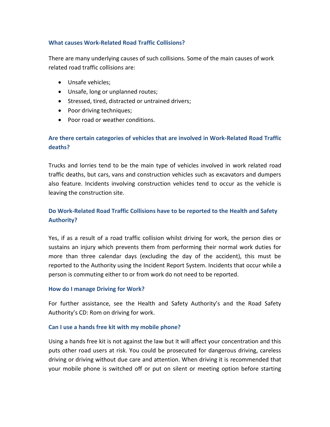#### **What causes Work-Related Road Traffic Collisions?**

There are many underlying causes of such collisions. Some of the main causes of work related road traffic collisions are:

- Unsafe vehicles;
- Unsafe, long or unplanned routes;
- Stressed, tired, distracted or untrained drivers;
- Poor driving techniques;
- Poor road or weather conditions.

#### **Are there certain categories of vehicles that are involved in Work-Related Road Traffic deaths?**

Trucks and lorries tend to be the main type of vehicles involved in work related road traffic deaths, but cars, vans and construction vehicles such as excavators and dumpers also feature. Incidents involving construction vehicles tend to occur as the vehicle is leaving the construction site.

#### **Do Work-Related Road Traffic Collisions have to be reported to the Health and Safety Authority?**

Yes, if as a result of a road traffic collision whilst driving for work, the person dies or sustains an injury which prevents them from performing their normal work duties for more than three calendar days (excluding the day of the accident), this must be reported to the Authority using the Incident Report System. Incidents that occur while a person is commuting either to or from work do not need to be reported.

#### **How do I manage Driving for Work?**

For further assistance, see the Health and Safety Authority's and the Road Safety Authority's CD: Rom on driving for work.

#### **Can I use a hands free kit with my mobile phone?**

Using a hands free kit is not against the law but it will affect your concentration and this puts other road users at risk. You could be prosecuted for dangerous driving, careless driving or driving without due care and attention. When driving it is recommended that your mobile phone is switched off or put on silent or meeting option before starting